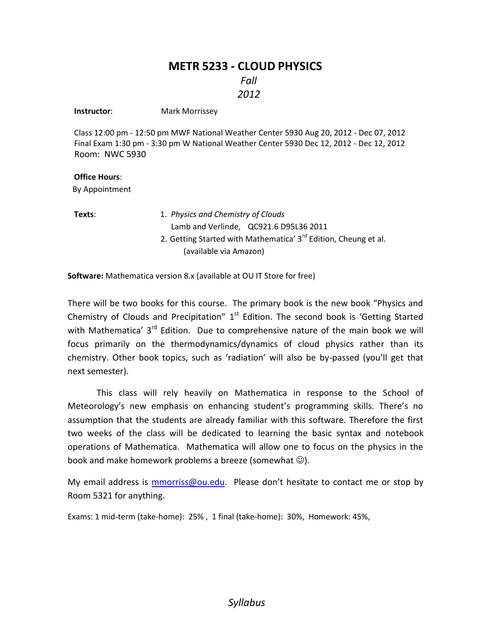# **METR 5233 - CLOUD PHYSICS**

*Fall*

## *2012*

**Instructor:** Mark Morrissey

Class 12:00 pm - 12:50 pm MWF National Weather Center 5930 Aug 20, 2012 - Dec 07, 2012 Final Exam 1:30 pm - 3:30 pm W National Weather Center 5930 Dec 12, 2012 - Dec 12, 2012 Room: NWC 5930

#### **Office Hours**:

By Appointment

- **Texts**: 1. *Physics and Chemistry of Clouds* Lamb and Verlinde, QC921.6 D95L36 2011
	- 2. Getting Started with Mathematica'  $3<sup>rd</sup>$  Edition, Cheung et al. (available via Amazon)

**Software:** Mathematica version 8.x (available at OU IT Store for free)

There will be two books for this course. The primary book is the new book "Physics and Chemistry of Clouds and Precipitation"  $1<sup>st</sup>$  Edition. The second book is 'Getting Started with Mathematica' 3<sup>rd</sup> Edition. Due to comprehensive nature of the main book we will focus primarily on the thermodynamics/dynamics of cloud physics rather than its chemistry. Other book topics, such as 'radiation' will also be by-passed (you'll get that next semester).

This class will rely heavily on Mathematica in response to the School of Meteorology's new emphasis on enhancing student's programming skills. There's no assumption that the students are already familiar with this software. Therefore the first two weeks of the class will be dedicated to learning the basic syntax and notebook operations of Mathematica. Mathematica will allow one to focus on the physics in the book and make homework problems a breeze (somewhat  $\circledcirc$ ).

My email address is [mmorriss@ou.edu](mailto:mmorriss@ou.edu). Please don't hesitate to contact me or stop by Room 5321 for anything.

Exams: 1 mid-term (take-home): 25% , 1 final (take-home): 30%, Homework: 45%,

## *Syllabus*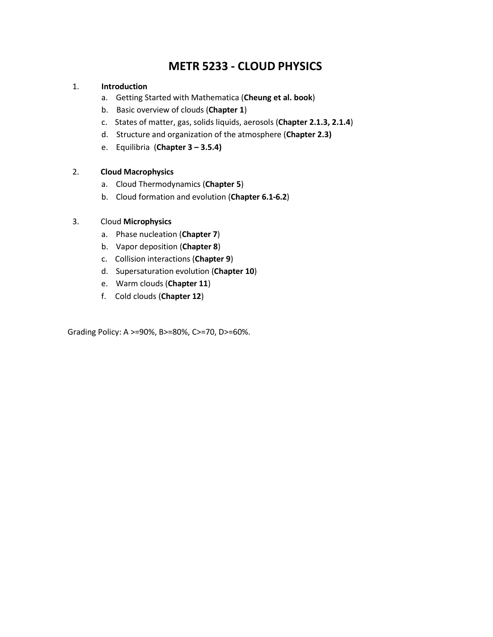# **METR 5233 - CLOUD PHYSICS**

#### 1. **Introduction**

- a. Getting Started with Mathematica (**Cheung et al. book**)
- b. Basic overview of clouds (**Chapter 1**)
- c. States of matter, gas, solids liquids, aerosols (**Chapter 2.1.3, 2.1.4**)
- d. Structure and organization of the atmosphere (**Chapter 2.3)**
- e. Equilibria (**Chapter 3 – 3.5.4)**

## 2. **Cloud Macrophysics**

- a. Cloud Thermodynamics (**Chapter 5**)
- b. Cloud formation and evolution (**Chapter 6.1-6.2**)

## 3. Cloud **Microphysics**

- a. Phase nucleation (**Chapter 7**)
- b. Vapor deposition (**Chapter 8**)
- c. Collision interactions (**Chapter 9**)
- d. Supersaturation evolution (**Chapter 10**)
- e. Warm clouds (**Chapter 11**)
- f. Cold clouds (**Chapter 12**)

Grading Policy: A >=90%, B>=80%, C>=70, D>=60%.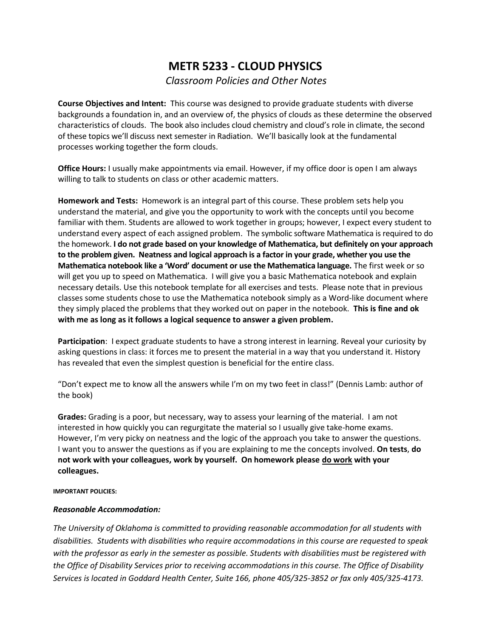# **METR 5233 - CLOUD PHYSICS** *Classroom Policies and Other Notes*

**Course Objectives and Intent:** This course was designed to provide graduate students with diverse backgrounds a foundation in, and an overview of, the physics of clouds as these determine the observed characteristics of clouds. The book also includes cloud chemistry and cloud's role in climate, the second of these topics we'll discuss next semester in Radiation. We'll basically look at the fundamental processes working together the form clouds.

**Office Hours:** I usually make appointments via email. However, if my office door is open I am always willing to talk to students on class or other academic matters.

**Homework and Tests:** Homework is an integral part of this course. These problem sets help you understand the material, and give you the opportunity to work with the concepts until you become familiar with them. Students are allowed to work together in groups; however, I expect every student to understand every aspect of each assigned problem. The symbolic software Mathematica is required to do the homework. **I do not grade based on your knowledge of Mathematica, but definitely on your approach to the problem given. Neatness and logical approach is a factor in your grade, whether you use the Mathematica notebook like a 'Word' document or use the Mathematica language.** The first week or so will get you up to speed on Mathematica. I will give you a basic Mathematica notebook and explain necessary details. Use this notebook template for all exercises and tests. Please note that in previous classes some students chose to use the Mathematica notebook simply as a Word-like document where they simply placed the problems that they worked out on paper in the notebook. **This is fine and ok with me as long as it follows a logical sequence to answer a given problem.**

**Participation**: I expect graduate students to have a strong interest in learning. Reveal your curiosity by asking questions in class: it forces me to present the material in a way that you understand it. History has revealed that even the simplest question is beneficial for the entire class.

"Don't expect me to know all the answers while I'm on my two feet in class!" (Dennis Lamb: author of the book)

**Grades:** Grading is a poor, but necessary, way to assess your learning of the material. I am not interested in how quickly you can regurgitate the material so I usually give take-home exams. However, I'm very picky on neatness and the logic of the approach you take to answer the questions. I want you to answer the questions as if you are explaining to me the concepts involved. **On tests**, **do not work with your colleagues, work by yourself. On homework please do work with your colleagues.**

**IMPORTANT POLICIES:** 

#### *Reasonable Accommodation:*

*The University of Oklahoma is committed to providing reasonable accommodation for all students with disabilities. Students with disabilities who require accommodations in this course are requested to speak with the professor as early in the semester as possible. Students with disabilities must be registered with the Office of Disability Services prior to receiving accommodations in this course. The Office of Disability Services is located in Goddard Health Center, Suite 166, phone 405/325-3852 or fax only 405/325-4173.*